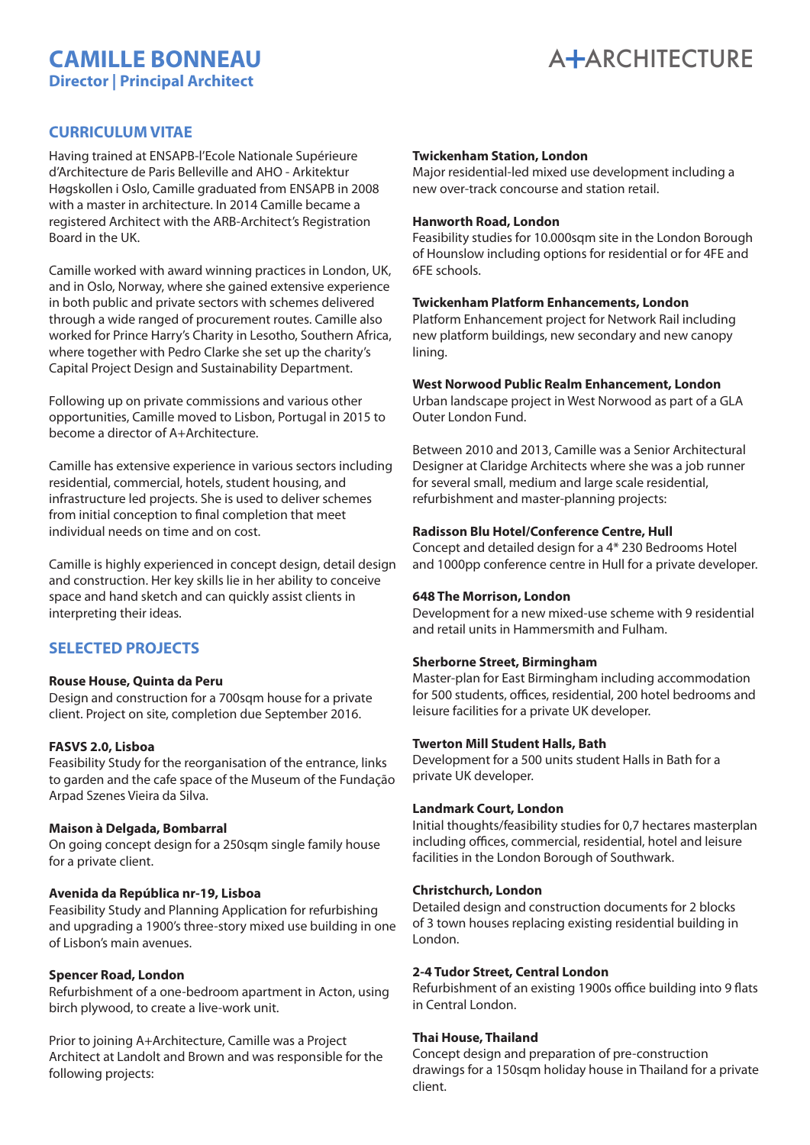# **CAMILLE BONNEAU Director | Principal Architect**



# **CURRICULUM VITAE**

Having trained at ENSAPB-l'Ecole Nationale Supérieure d'Architecture de Paris Belleville and AHO - Arkitektur Høgskollen i Oslo, Camille graduated from ENSAPB in 2008 with a master in architecture. In 2014 Camille became a registered Architect with the ARB-Architect's Registration Board in the UK.

Camille worked with award winning practices in London, UK, and in Oslo, Norway, where she gained extensive experience in both public and private sectors with schemes delivered through a wide ranged of procurement routes. Camille also worked for Prince Harry's Charity in Lesotho, Southern Africa, where together with Pedro Clarke she set up the charity's Capital Project Design and Sustainability Department.

Following up on private commissions and various other opportunities, Camille moved to Lisbon, Portugal in 2015 to become a director of A+Architecture.

Camille has extensive experience in various sectors including residential, commercial, hotels, student housing, and infrastructure led projects. She is used to deliver schemes from initial conception to final completion that meet individual needs on time and on cost.

Camille is highly experienced in concept design, detail design and construction. Her key skills lie in her ability to conceive space and hand sketch and can quickly assist clients in interpreting their ideas.

# **SELECTED PROJECTS**

## **Rouse House, Quinta da Peru**

Design and construction for a 700sqm house for a private client. Project on site, completion due September 2016.

#### **FASVS 2.0, Lisboa**

Feasibility Study for the reorganisation of the entrance, links to garden and the cafe space of the Museum of the Fundação Arpad Szenes Vieira da Silva.

#### **Maison à Delgada, Bombarral**

On going concept design for a 250sqm single family house for a private client.

## **Avenida da República nr-19, Lisboa**

Feasibility Study and Planning Application for refurbishing and upgrading a 1900's three-story mixed use building in one of Lisbon's main avenues.

## **Spencer Road, London**

Refurbishment of a one-bedroom apartment in Acton, using birch plywood, to create a live-work unit.

Prior to joining A+Architecture, Camille was a Project Architect at Landolt and Brown and was responsible for the following projects:

### **Twickenham Station, London**  A ARCHITECTURE +  $\mathbf{B}$

Major residential-led mixed use development including a new over-track concourse and station retail. se and station retail.<br>**DN** 

#### **Hanworth Road, London**

Feasibility studies for 10.000sqm site in the London Borough of Hounslow including options for residential or for 4FE and 6FE schools.

# or Eschools.<br>Twickenham Platform Enhancements, London  $\frac{L}{L}$ hancements, London

Platform Enhancement project for Network Rail including new platform buildings, new secondary and new canopy lining.

#### **West Norwood Public Realm Enhancement, London**

Urban landscape project in West Norwood as part of a GLA Outer London Fund.

Between 2010 and 2013, Camille was a Senior Architectural Designer at Claridge Architects where she was a job runner for several small, medium and large scale residential, refurbishment and master-planning projects:

## **Radisson Blu Hotel/Conference Centre, Hull**

Concept and detailed design for a 4\* 230 Bedrooms Hotel and 1000pp conference centre in Hull for a private developer.

#### **648 The Morrison, London**

Development for a new mixed-use scheme with 9 residential and retail units in Hammersmith and Fulham.

#### **Sherborne Street, Birmingham**

Master-plan for East Birmingham including accommodation for 500 students, offices, residential, 200 hotel bedrooms and leisure facilities for a private UK developer.

#### **Twerton Mill Student Halls, Bath**

Development for a 500 units student Halls in Bath for a private UK developer.

#### **Landmark Court, London**

Initial thoughts/feasibility studies for 0,7 hectares masterplan including offices, commercial, residential, hotel and leisure facilities in the London Borough of Southwark.

#### **Christchurch, London**

Detailed design and construction documents for 2 blocks of 3 town houses replacing existing residential building in London.

#### **2-4 Tudor Street, Central London**

Refurbishment of an existing 1900s office building into 9 flats in Central London.

#### **Thai House, Thailand**

Concept design and preparation of pre-construction drawings for a 150sqm holiday house in Thailand for a private client.